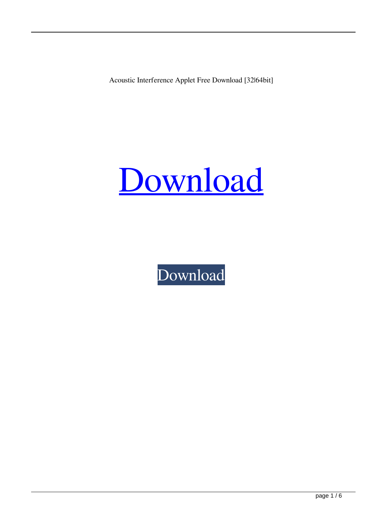Acoustic Interference Applet Free Download [32|64bit]



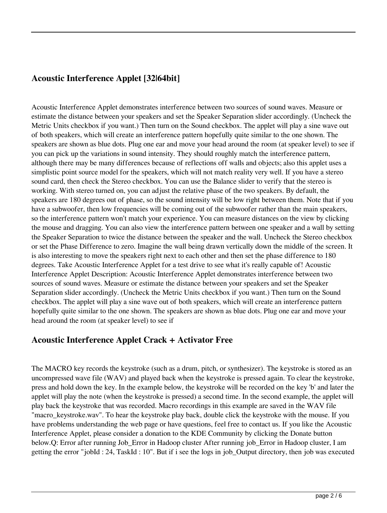# **Acoustic Interference Applet [32|64bit]**

Acoustic Interference Applet demonstrates interference between two sources of sound waves. Measure or estimate the distance between your speakers and set the Speaker Separation slider accordingly. (Uncheck the Metric Units checkbox if you want.) Then turn on the Sound checkbox. The applet will play a sine wave out of both speakers, which will create an interference pattern hopefully quite similar to the one shown. The speakers are shown as blue dots. Plug one ear and move your head around the room (at speaker level) to see if you can pick up the variations in sound intensity. They should roughly match the interference pattern, although there may be many differences because of reflections off walls and objects; also this applet uses a simplistic point source model for the speakers, which will not match reality very well. If you have a stereo sound card, then check the Stereo checkbox. You can use the Balance slider to verify that the stereo is working. With stereo turned on, you can adjust the relative phase of the two speakers. By default, the speakers are 180 degrees out of phase, so the sound intensity will be low right between them. Note that if you have a subwoofer, then low frequencies will be coming out of the subwoofer rather than the main speakers, so the interference pattern won't match your experience. You can measure distances on the view by clicking the mouse and dragging. You can also view the interference pattern between one speaker and a wall by setting the Speaker Separation to twice the distance between the speaker and the wall. Uncheck the Stereo checkbox or set the Phase Difference to zero. Imagine the wall being drawn vertically down the middle of the screen. It is also interesting to move the speakers right next to each other and then set the phase difference to 180 degrees. Take Acoustic Interference Applet for a test drive to see what it's really capable of! Acoustic Interference Applet Description: Acoustic Interference Applet demonstrates interference between two sources of sound waves. Measure or estimate the distance between your speakers and set the Speaker Separation slider accordingly. (Uncheck the Metric Units checkbox if you want.) Then turn on the Sound checkbox. The applet will play a sine wave out of both speakers, which will create an interference pattern hopefully quite similar to the one shown. The speakers are shown as blue dots. Plug one ear and move your head around the room (at speaker level) to see if

### **Acoustic Interference Applet Crack + Activator Free**

The MACRO key records the keystroke (such as a drum, pitch, or synthesizer). The keystroke is stored as an uncompressed wave file (WAV) and played back when the keystroke is pressed again. To clear the keystroke, press and hold down the key. In the example below, the keystroke will be recorded on the key 'b' and later the applet will play the note (when the keystroke is pressed) a second time. In the second example, the applet will play back the keystroke that was recorded. Macro recordings in this example are saved in the WAV file "macro\_keystroke.wav". To hear the keystroke play back, double click the keystroke with the mouse. If you have problems understanding the web page or have questions, feel free to contact us. If you like the Acoustic Interference Applet, please consider a donation to the KDE Community by clicking the Donate button below.Q: Error after running Job\_Error in Hadoop cluster After running job\_Error in Hadoop cluster, I am getting the error "jobId : 24, TaskId : 10". But if i see the logs in job\_Output directory, then job was executed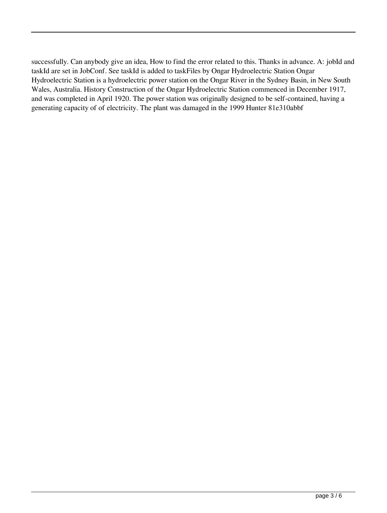successfully. Can anybody give an idea, How to find the error related to this. Thanks in advance. A: jobId and taskId are set in JobConf. See taskId is added to taskFiles by Ongar Hydroelectric Station Ongar Hydroelectric Station is a hydroelectric power station on the Ongar River in the Sydney Basin, in New South Wales, Australia. History Construction of the Ongar Hydroelectric Station commenced in December 1917, and was completed in April 1920. The power station was originally designed to be self-contained, having a generating capacity of of electricity. The plant was damaged in the 1999 Hunter 81e310abbf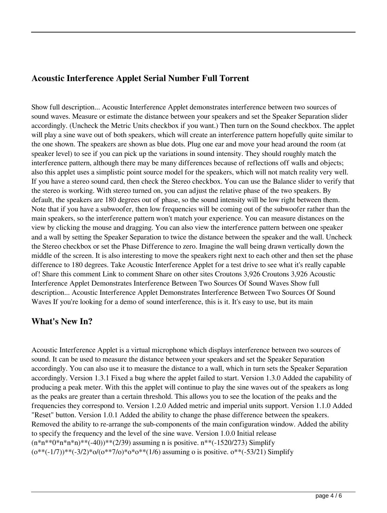### **Acoustic Interference Applet Serial Number Full Torrent**

Show full description... Acoustic Interference Applet demonstrates interference between two sources of sound waves. Measure or estimate the distance between your speakers and set the Speaker Separation slider accordingly. (Uncheck the Metric Units checkbox if you want.) Then turn on the Sound checkbox. The applet will play a sine wave out of both speakers, which will create an interference pattern hopefully quite similar to the one shown. The speakers are shown as blue dots. Plug one ear and move your head around the room (at speaker level) to see if you can pick up the variations in sound intensity. They should roughly match the interference pattern, although there may be many differences because of reflections off walls and objects; also this applet uses a simplistic point source model for the speakers, which will not match reality very well. If you have a stereo sound card, then check the Stereo checkbox. You can use the Balance slider to verify that the stereo is working. With stereo turned on, you can adjust the relative phase of the two speakers. By default, the speakers are 180 degrees out of phase, so the sound intensity will be low right between them. Note that if you have a subwoofer, then low frequencies will be coming out of the subwoofer rather than the main speakers, so the interference pattern won't match your experience. You can measure distances on the view by clicking the mouse and dragging. You can also view the interference pattern between one speaker and a wall by setting the Speaker Separation to twice the distance between the speaker and the wall. Uncheck the Stereo checkbox or set the Phase Difference to zero. Imagine the wall being drawn vertically down the middle of the screen. It is also interesting to move the speakers right next to each other and then set the phase difference to 180 degrees. Take Acoustic Interference Applet for a test drive to see what it's really capable of! Share this comment Link to comment Share on other sites Croutons 3,926 Croutons 3,926 Acoustic Interference Applet Demonstrates Interference Between Two Sources Of Sound Waves Show full description... Acoustic Interference Applet Demonstrates Interference Between Two Sources Of Sound Waves If you're looking for a demo of sound interference, this is it. It's easy to use, but its main

#### **What's New In?**

Acoustic Interference Applet is a virtual microphone which displays interference between two sources of sound. It can be used to measure the distance between your speakers and set the Speaker Separation accordingly. You can also use it to measure the distance to a wall, which in turn sets the Speaker Separation accordingly. Version 1.3.1 Fixed a bug where the applet failed to start. Version 1.3.0 Added the capability of producing a peak meter. With this the applet will continue to play the sine waves out of the speakers as long as the peaks are greater than a certain threshold. This allows you to see the location of the peaks and the frequencies they correspond to. Version 1.2.0 Added metric and imperial units support. Version 1.1.0 Added "Reset" button. Version 1.0.1 Added the ability to change the phase difference between the speakers. Removed the ability to re-arrange the sub-components of the main configuration window. Added the ability to specify the frequency and the level of the sine wave. Version 1.0.0 Initial release  $(n*n**0*n*n*n)*(-40))**(2/39)$  assuming n is positive.  $n**(-1520/273)$  Simplify  $(0^{**}(-1/7))^{**}(-3/2)^{*}0/(0^{**}7/0)^{*}0^{**}(1/6)$  assuming o is positive.  $0^{**}(-53/21)$  Simplify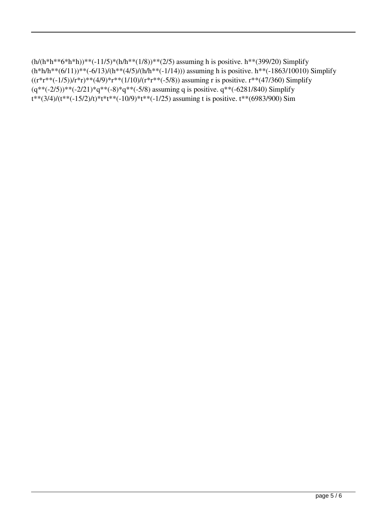```
(h/(h*h**6*h*h))**(-11/5)*(h/h**(1/8))**(2/5) assuming h is positive. h**(399/20) Simplify
(h*h/h**(6/11))**(-6/13)/(h**(4/5)/(h/h**(-1/14))) assuming h is positive. h**(-1863/10010) Simplify
((r*r**(-1/5))/r*r)**(4/9)*r**(1/10)/(r*r**(-5/8)) assuming r is positive. r**(47/360) Simplify
(q^{**}(-2/5))^{**}(-2/21)^*q^{**}(-8)^*q^{**}(-5/8) assuming q is positive. q^{**}(-6281/840) Simplify
t^{**}(3/4)/(t^{**}(-15/2)/t)*t^{**}(10/9)*t^{**}(-1/25) assuming t is positive. t^{**}(6983/900) Sim
```